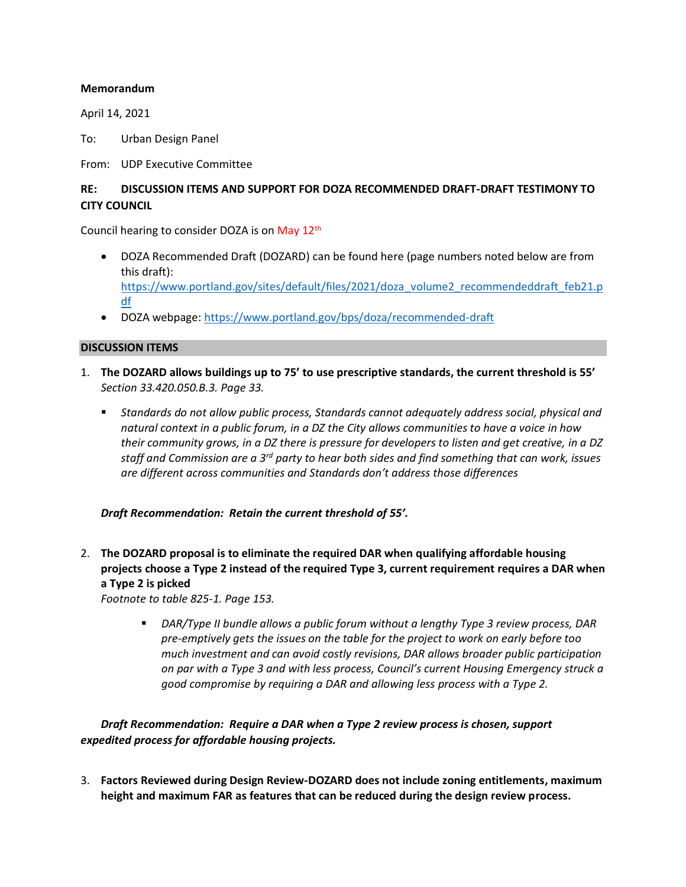#### **Memorandum**

April 14, 2021

To: Urban Design Panel

From: UDP Executive Committee

# **RE: DISCUSSION ITEMS AND SUPPORT FOR DOZA RECOMMENDED DRAFT-DRAFT TESTIMONY TO CITY COUNCIL**

Council hearing to consider DOZA is on May 12th

- DOZA Recommended Draft (DOZARD) can be found here (page numbers noted below are from this draft): [https://www.portland.gov/sites/default/files/2021/doza\\_volume2\\_recommendeddraft\\_feb21.p](https://www.portland.gov/sites/default/files/2021/doza_volume2_recommendeddraft_feb21.pdf) [df](https://www.portland.gov/sites/default/files/2021/doza_volume2_recommendeddraft_feb21.pdf)
- DOZA webpage:<https://www.portland.gov/bps/doza/recommended-draft>

#### **DISCUSSION ITEMS**

- 1. **The DOZARD allows buildings up to 75' to use prescriptive standards, the current threshold is 55'** *Section 33.420.050.B.3. Page 33.*
	- *Standards do not allow public process, Standards cannot adequately address social, physical and natural context in a public forum, in a DZ the City allows communities to have a voice in how their community grows, in a DZ there is pressure for developers to listen and get creative, in a DZ staff and Commission are a 3rd party to hear both sides and find something that can work, issues are different across communities and Standards don't address those differences*

*Draft Recommendation: Retain the current threshold of 55'.*

2. **The DOZARD proposal is to eliminate the required DAR when qualifying affordable housing projects choose a Type 2 instead of the required Type 3, current requirement requires a DAR when a Type 2 is picked**

*Footnote to table 825-1. Page 153.*

▪ *DAR/Type II bundle allows a public forum without a lengthy Type 3 review process, DAR pre-emptively gets the issues on the table for the project to work on early before too much investment and can avoid costly revisions, DAR allows broader public participation on par with a Type 3 and with less process, Council's current Housing Emergency struck a good compromise by requiring a DAR and allowing less process with a Type 2.*

*Draft Recommendation: Require a DAR when a Type 2 review process is chosen, support expedited process for affordable housing projects.*

3. **Factors Reviewed during Design Review-DOZARD does not include zoning entitlements, maximum height and maximum FAR as features that can be reduced during the design review process.**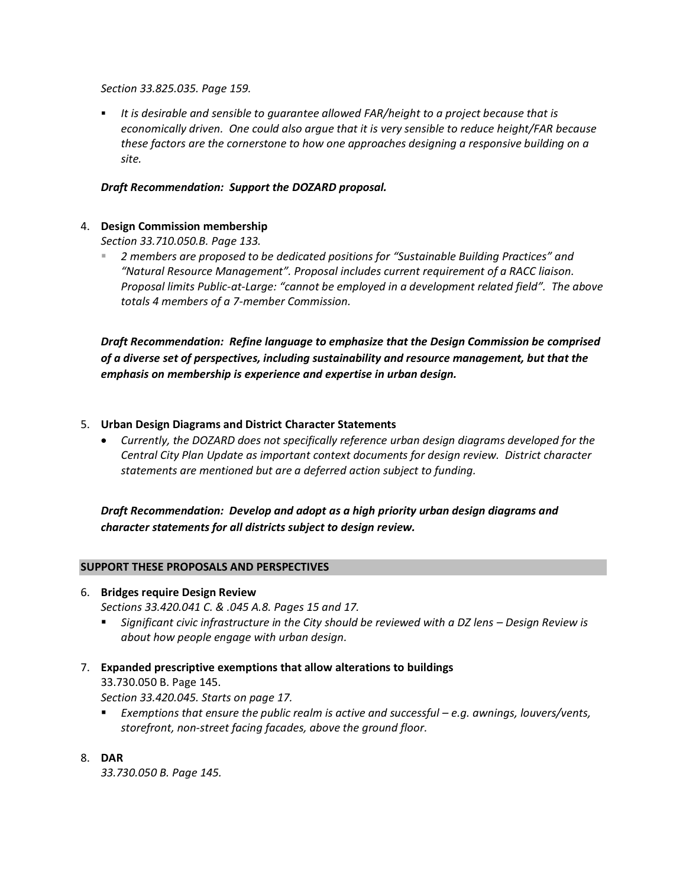*Section 33.825.035. Page 159.*

▪ *It is desirable and sensible to guarantee allowed FAR/height to a project because that is economically driven. One could also argue that it is very sensible to reduce height/FAR because these factors are the cornerstone to how one approaches designing a responsive building on a site.*

## *Draft Recommendation: Support the DOZARD proposal.*

## 4. **Design Commission membership**

*Section 33.710.050.B. Page 133.*

▪ *2 members are proposed to be dedicated positions for "Sustainable Building Practices" and "Natural Resource Management". Proposal includes current requirement of a RACC liaison. Proposal limits Public-at-Large: "cannot be employed in a development related field". The above totals 4 members of a 7-member Commission.* 

*Draft Recommendation: Refine language to emphasize that the Design Commission be comprised of a diverse set of perspectives, including sustainability and resource management, but that the emphasis on membership is experience and expertise in urban design.*

### 5. **Urban Design Diagrams and District Character Statements**

• *Currently, the DOZARD does not specifically reference urban design diagrams developed for the Central City Plan Update as important context documents for design review. District character statements are mentioned but are a deferred action subject to funding.*

*Draft Recommendation: Develop and adopt as a high priority urban design diagrams and character statements for all districts subject to design review.*

### **SUPPORT THESE PROPOSALS AND PERSPECTIVES**

6. **Bridges require Design Review**

*Sections 33.420.041 C. & .045 A.8. Pages 15 and 17.* 

- Significant civic infrastructure in the City should be reviewed with a DZ lens Design Review is *about how people engage with urban design.*
- 7. **Expanded prescriptive exemptions that allow alterations to buildings** 33.730.050 B. Page 145. *Section 33.420.045. Starts on page 17.*
	- *Exemptions that ensure the public realm is active and successful e.g. awnings, louvers/vents, storefront, non-street facing facades, above the ground floor.*
- 8. **DAR**

*33.730.050 B. Page 145.*